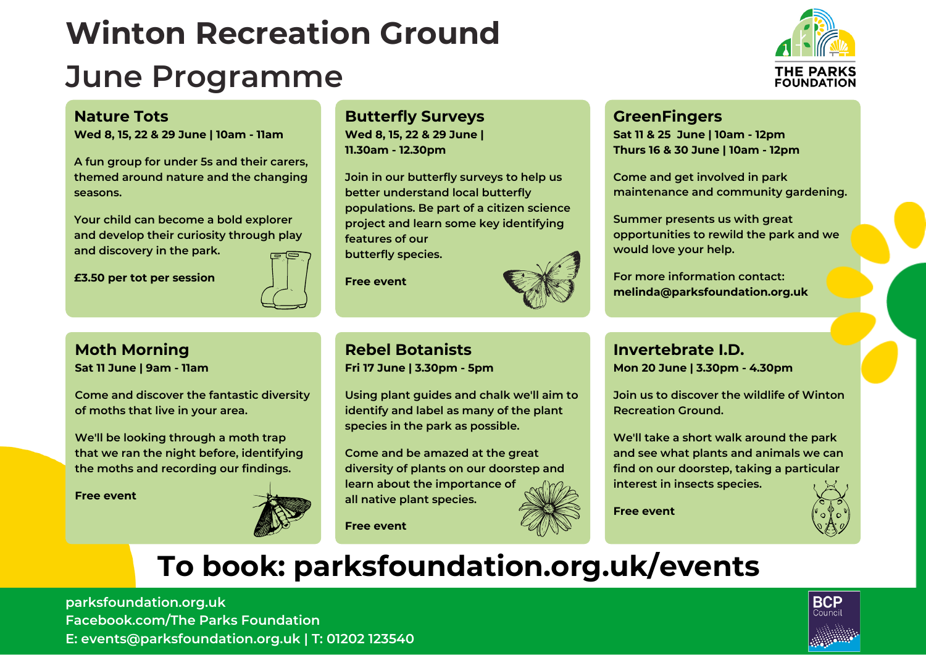# **Winton Recreation Ground**

# **June Programme**



#### **Nature Tots**

**Wed 8, 15, 22 & 29 June | 10am - 11am**

**A fun group for under 5s and their carers, themed around nature and the changing seasons.**

**Your child can become a bold explorer and develop their curiosity through play and discovery in the park.**

**£3.50 per tot per session**



## **Moth Morning**

**Sat 11 June | 9am - 11am**

**Come and discover the fantastic diversity of moths that live in your area.**

**We'll be looking through a moth trap that we ran the night before, identifying the moths and recording our findings.**

**Free event**



## **Butterfly Surveys**

**Wed 8, 15, 22 & 29 June | 11.30am - 12.30pm**

**Join in our butterfly surveys to help us better understand local butterfly populations. Be part of a citizen science project and learn some key identifying features of our butterfly species.**

**Free event**



#### **Rebel Botanists Fri 17 June | 3.30pm - 5pm**

**Using plant guides and chalk we'll aim to identify and label as many of the plant species in the park as possible.**

**Come and be amazed at the great diversity of plants on our doorstep and learn about the importance of all native plant species.**



**Free event**

#### **GreenFingers**

**Sat 11 & 25 June |10am - 12pm Thurs 16 & 30 June |10am - 12pm**

**Come and get involved in park maintenance and community gardening.**

**Summer presents us with great opportunities to rewild the park and we would love your help.**

**For more information contact: melinda@parksfoundation.org.uk**

**Invertebrate I.D. Mon 20 June | 3.30pm - 4.30pm**

**Join us to discover the wildlife of Winton Recreation Ground.**

**We'll take a short walk around the park and see what plants and animals we can find on our doorstep, taking a particular interest in insects species.**

**Free event**



# **To book: [parksfoundation.org.uk/events](https://parksfoundation.org.uk/events/)**

**[parksfoundation.org.uk](https://parksfoundation.org.uk/) [Facebook.com/The](https://www.facebook.com/TheParksFoundation) Parks Foundation E: events@parksfoundation.org.uk | T: 01202 123540**